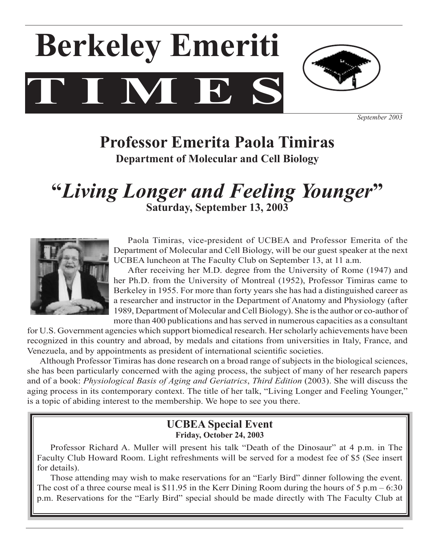# $\bf T$   $\bf N$   $\bf E$ **Berkeley Emeriti**



*September 2003*

## **Professor Emerita Paola Timiras Department of Molecular and Cell Biology**

## **"***Living Longer and Feeling Younger***" Saturday, September 13, 2003**



 Paola Timiras, vice-president of UCBEA and Professor Emerita of the Department of Molecular and Cell Biology, will be our guest speaker at the next UCBEA luncheon at The Faculty Club on September 13, at 11 a.m.

 After receiving her M.D. degree from the University of Rome (1947) and her Ph.D. from the University of Montreal (1952), Professor Timiras came to Berkeley in 1955. For more than forty years she has had a distinguished career as a researcher and instructor in the Department of Anatomy and Physiology (after 1989, Department of Molecular and Cell Biology). She is the author or co-author of more than 400 publications and hasserved in numerous capacities as a consultant

for U.S. Government agencies which support biomedical research. Her scholarly achievements have been recognized in this country and abroad, by medals and citations from universities in Italy, France, and Venezuela, and by appointments as president of international scientific societies.

 Although Professor Timiras has done research on a broad range of subjects in the biological sciences, she has been particularly concerned with the aging process, the subject of many of her research papers and of a book: *Physiological Basis of Aging and Geriatrics*, *Third Edition* (2003). She will discuss the aging process in its contemporary context. The title of her talk, "Living Longer and Feeling Younger," is a topic of abiding interest to the membership. We hope to see you there.

### **UCBEA Special Event Friday, October 24, 2003**

Professor Richard A. Muller will present his talk "Death of the Dinosaur" at 4 p.m. in The Faculty Club Howard Room. Light refreshments will be served for a modest fee of \$5 (See insert for details).

 Those attending may wish to make reservations for an "Early Bird" dinner following the event. The cost of a three course meal is \$11.95 in the Kerr Dining Room during the hours of  $5 \text{ p.m} - 6:30$ p.m. Reservations for the "Early Bird" special should be made directly with The Faculty Club at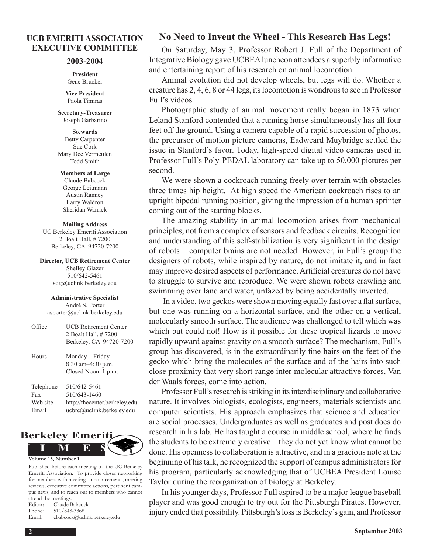#### **UCB EMERITI ASSOCIATION EXECUTIVE COMMITTEE**

#### **2003-2004**

**President** Gene Brucker

**Vice President** Paola Timiras

**Secretary-Treasurer**  Joseph Garbarino

**Stewards** Betty Carpenter Sue Cork Mary Dee Vermeulen Todd Smith

**Members at Large** Claude Babcock George Leitmann Austin Ranney Larry Waldron

Sheridan Warrick

**Mailing Address** UC Berkeley Emeriti Association 2 Boalt Hall, # 7200 Berkeley, CA 94720-7200

**Director, UCB Retirement Center** Shelley Glazer 510/642-5461 sdg@uclink.berkeley.edu

**Administrative Specialist** André S. Porter asporter@uclink.berkeley.edu

| Office                                | <b>UCB Retirement Center</b><br>2 Boalt Hall, #7200<br>Berkeley, CA 94720-7200             |
|---------------------------------------|--------------------------------------------------------------------------------------------|
| Hours                                 | Monday – Friday<br>8:30 am-4:30 p.m.<br>Closed Noon-1 p.m.                                 |
| Telephone<br>Fax<br>Web site<br>Email | 510/642-5461<br>510/643-1460<br>http://thecenter.berkeley.edu<br>ucbrc@uclink.berkeley.edu |



Published before each meeting of the UC Berkeley Emeriti Association: To provide closer networking for members with meeting announcements, meeting reviews, executive committee actions, pertinent campus news, and to reach out to members who cannot attend the meetings. Editor: Claude Babcock Phone: 510/848-3368

Email: cbabcock@uclink.berkeley.edu

 On Saturday, May 3, Professor Robert J. Full of the Department of

Integrative Biology gave UCBEAluncheon attendees a superbly informative and entertaining report of his research on animal locomotion.

**No Need to Invent the Wheel - This Research Has Legs!**

 Animal evolution did not develop wheels, but legs will do. Whether a creature has 2, 4, 6, 8 or 44 legs, itslocomotion is wondrousto see in Professor Full's videos.

 Photographic study of animal movement really began in 1873 when Leland Stanford contended that a running horse simultaneously has all four feet off the ground. Using a camera capable of a rapid succession of photos, the precursor of motion picture cameras, Eadweard Muybridge settled the issue in Stanford's favor. Today, high-speed digital video cameras used in Professor Full's Poly-PEDAL laboratory can take up to 50,000 pictures per second.

 We were shown a cockroach running freely over terrain with obstacles three times hip height. At high speed the American cockroach rises to an upright bipedal running position, giving the impression of a human sprinter coming out of the starting blocks.

 The amazing stability in animal locomotion arises from mechanical principles, not from a complex of sensors and feedback circuits. Recognition and understanding of this self-stabilization is very significant in the design of robots – computer brains are not needed. However, in Full's group the designers of robots, while inspired by nature, do not imitate it, and in fact may improve desired aspects of performance. Artificial creatures do not have to struggle to survive and reproduce. We were shown robots crawling and swimming over land and water, unfazed by being accidentally inverted. 

 In a video, two geckos were shown moving equally fast over a flat surface, but one was running on a horizontal surface, and the other on a vertical, molecularly smooth surface. The audience was challenged to tell which was which but could not! How is it possible for these tropical lizards to move rapidly upward against gravity on a smooth surface? The mechanism, Full's group has discovered, is in the extraordinarily fine hairs on the feet of the gecko which bring the molecules of the surface and of the hairs into such close proximity that very short-range inter-molecular attractive forces, Van der Waals forces, come into action.

Professor Full's research is striking in its interdisciplinary and collaborative nature. It involves biologists, ecologists, engineers, materials scientists and computer scientists. His approach emphasizes that science and education are social processes. Undergraduates as well as graduates and post docs do research in his lab. He has taught a course in middle school, where he finds the students to be extremely creative – they do not yet know what cannot be done. His opennessto collaboration is attractive, and in a gracious note at the beginning of histalk, he recognized the support of campus administrators for his program, particularly acknowledging that of UCBEA President Louise Taylor during the reorganization of biology at Berkeley.

 In his younger days, Professor Full aspired to be a major league baseball player and was good enough to try out for the Pittsburgh Pirates. However, injury ended that possibility. Pittsburgh's loss is Berkeley's gain, and Professor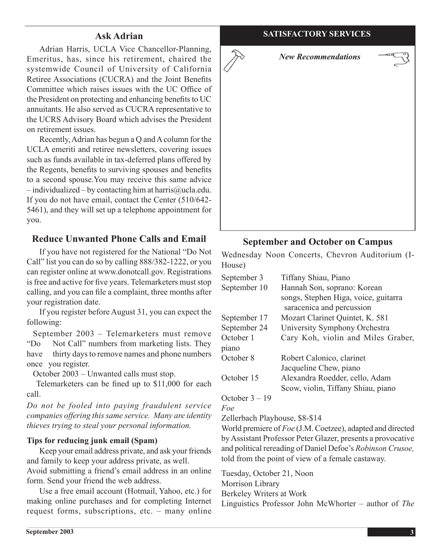Adrian Harris, UCLA Vice Chancellor-Planning, Emeritus, has, since his retirement, chaired the systemwide Council of University of California Retiree Associations (CUCRA) and the Joint Benefits Committee which raises issues with the UC Office of the President on protecting and enhancing benefits to UC annuitants. He also served as CUCRA representative to the UCRS Advisory Board which advises the President on retirement issues.

 Recently,Adrian has begun a Q andAcolumn for the UCLA emeriti and retiree newsletters, covering issues such as funds available in tax-deferred plans offered by the Regents, benefits to surviving spouses and benefits to a second spouse.You may receive this same advice  $-$  individualized – by contacting him at harris@ucla.edu. If you do not have email, contact the Center (510/642- 5461), and they will set up a telephone appointment for you.

#### **Reduce Unwanted Phone Calls and Email**

 If you have not registered for the National "Do Not Call" list you can do so by calling 888/382-1222, or you can register online at www.donotcall.gov. Registrations is free and active for five years. Telemarketers must stop calling, and you can file a complaint, three months after your registration date.

 If you register before August 31, you can expect the following:

 September 2003 – Telemarketers must remove "Do Not Call" numbers from marketing lists. They have thirty days to remove names and phone numbers once you register.

 October 2003 – Unwanted calls must stop. 

Telemarketers can be fined up to \$11,000 for each call.

*Do not be fooled into paying fraudulent service companies offering this same service. Many are identity thieves trying to steal your personal information.*

#### **Tips for reducing junk email (Spam)**

 Keep your email address private, and ask your friends and family to keep your address private, as well.

Avoid submitting a friend's email address in an online form. Send your friend the web address.

 Use a free email account (Hotmail, Yahoo, etc.) for making online purchases and for completing Internet request forms, subscriptions, etc. – many online



#### **September and October on Campus**

Wednesday Noon Concerts, Chevron Auditorium (I-House)

| September 3        | Tiffany Shiau, Piano                                              |
|--------------------|-------------------------------------------------------------------|
| September 10       | Hannah Son, soprano: Korean                                       |
|                    | songs, Stephen Higa, voice, guitarra<br>saracenica and percussion |
|                    |                                                                   |
| September 17       | Mozart Clarinet Quintet, K. 581                                   |
| September 24       | University Symphony Orchestra                                     |
| October 1<br>piano | Cary Koh, violin and Miles Graber,                                |
| October 8          | Robert Calonico, clarinet                                         |
|                    | Jacqueline Chew, piano                                            |
| October 15         | Alexandra Roedder, cello, Adam                                    |
|                    | Scow, violin, Tiffany Shiau, piano                                |

#### October 3 – 19

#### *Foe*

Zellerbach Playhouse, \$8-\$14

World premiere of *Foe* (J.M.Coetzee), adapted and directed byAssistant Professor Peter Glazer, presents a provocative and political rereading of Daniel Defoe's *Robinson Crusoe,*  told from the point of view of a female castaway.

Tuesday, October 21, Noon Morrison Library Berkeley Writers at Work

Linguistics Professor John McWhorter – author of *The*